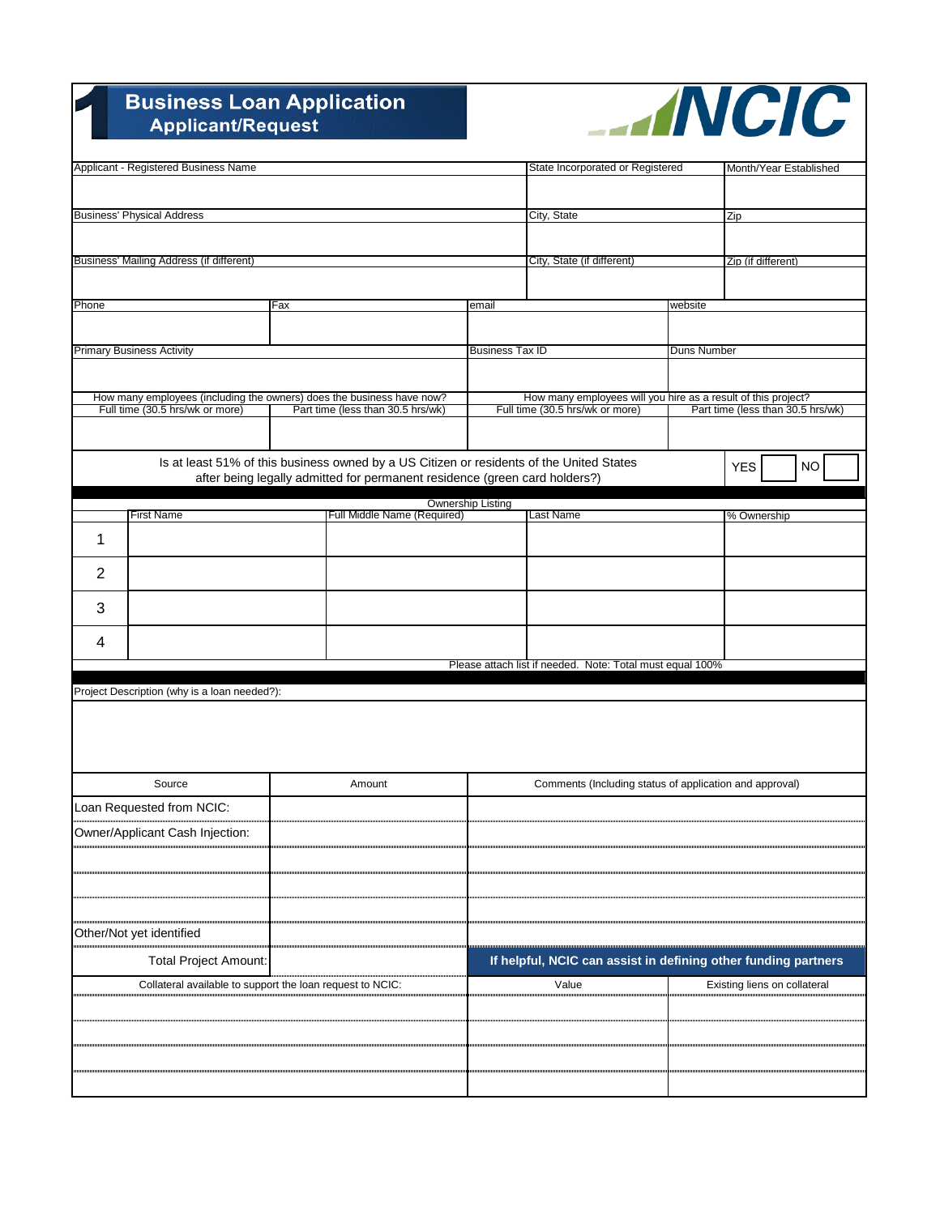## **Business Loan Application**<br>Applicant/Request



| Applicant - Registered Business Name |                                                                                                          |  |                                                                                          | State Incorporated or Registered                                                                                                      |                                                           |             | Month/Year Established       |  |
|--------------------------------------|----------------------------------------------------------------------------------------------------------|--|------------------------------------------------------------------------------------------|---------------------------------------------------------------------------------------------------------------------------------------|-----------------------------------------------------------|-------------|------------------------------|--|
|                                      |                                                                                                          |  |                                                                                          |                                                                                                                                       |                                                           |             |                              |  |
|                                      |                                                                                                          |  |                                                                                          |                                                                                                                                       |                                                           |             |                              |  |
| <b>Business' Physical Address</b>    |                                                                                                          |  |                                                                                          |                                                                                                                                       | City, State                                               |             | Zip                          |  |
|                                      |                                                                                                          |  |                                                                                          |                                                                                                                                       |                                                           |             |                              |  |
|                                      | Business' Mailing Address (if different)                                                                 |  |                                                                                          |                                                                                                                                       | City, State (if different)                                |             | Zip (if different)           |  |
|                                      |                                                                                                          |  |                                                                                          |                                                                                                                                       |                                                           |             |                              |  |
|                                      |                                                                                                          |  |                                                                                          |                                                                                                                                       |                                                           |             |                              |  |
|                                      | Phone<br>Fax                                                                                             |  |                                                                                          | email                                                                                                                                 |                                                           | website     |                              |  |
|                                      |                                                                                                          |  |                                                                                          |                                                                                                                                       |                                                           |             |                              |  |
|                                      | <b>Primary Business Activity</b>                                                                         |  |                                                                                          | <b>Business Tax ID</b>                                                                                                                |                                                           | Duns Number |                              |  |
|                                      |                                                                                                          |  |                                                                                          |                                                                                                                                       |                                                           |             |                              |  |
|                                      |                                                                                                          |  |                                                                                          |                                                                                                                                       |                                                           |             |                              |  |
|                                      | How many employees (including the owners) does the business have now?<br>Full time (30.5 hrs/wk or more) |  | Part time (less than 30.5 hrs/wk)                                                        | How many employees will you hire as a result of this project?<br>Full time (30.5 hrs/wk or more)<br>Part time (less than 30.5 hrs/wk) |                                                           |             |                              |  |
|                                      |                                                                                                          |  |                                                                                          |                                                                                                                                       |                                                           |             |                              |  |
|                                      |                                                                                                          |  |                                                                                          |                                                                                                                                       |                                                           |             |                              |  |
|                                      |                                                                                                          |  | Is at least 51% of this business owned by a US Citizen or residents of the United States |                                                                                                                                       |                                                           |             | <b>YES</b><br><b>NO</b>      |  |
|                                      |                                                                                                          |  | after being legally admitted for permanent residence (green card holders?)               |                                                                                                                                       |                                                           |             |                              |  |
|                                      |                                                                                                          |  |                                                                                          | Ownership Listing                                                                                                                     |                                                           |             |                              |  |
|                                      | First Name                                                                                               |  | Full Middle Name (Required)                                                              |                                                                                                                                       | Last Name                                                 |             | % Ownership                  |  |
| 1                                    |                                                                                                          |  |                                                                                          |                                                                                                                                       |                                                           |             |                              |  |
|                                      |                                                                                                          |  |                                                                                          |                                                                                                                                       |                                                           |             |                              |  |
| $\overline{2}$                       |                                                                                                          |  |                                                                                          |                                                                                                                                       |                                                           |             |                              |  |
| 3                                    |                                                                                                          |  |                                                                                          |                                                                                                                                       |                                                           |             |                              |  |
| 4                                    |                                                                                                          |  |                                                                                          |                                                                                                                                       |                                                           |             |                              |  |
|                                      |                                                                                                          |  |                                                                                          |                                                                                                                                       | Please attach list if needed. Note: Total must equal 100% |             |                              |  |
|                                      |                                                                                                          |  |                                                                                          |                                                                                                                                       |                                                           |             |                              |  |
|                                      | Project Description (why is a loan needed?):                                                             |  |                                                                                          |                                                                                                                                       |                                                           |             |                              |  |
|                                      |                                                                                                          |  |                                                                                          |                                                                                                                                       |                                                           |             |                              |  |
|                                      |                                                                                                          |  |                                                                                          |                                                                                                                                       |                                                           |             |                              |  |
|                                      |                                                                                                          |  |                                                                                          |                                                                                                                                       |                                                           |             |                              |  |
|                                      | Source                                                                                                   |  | Amount                                                                                   |                                                                                                                                       |                                                           |             |                              |  |
|                                      |                                                                                                          |  | Comments (Including status of application and approval)                                  |                                                                                                                                       |                                                           |             |                              |  |
|                                      | Loan Requested from NCIC:                                                                                |  |                                                                                          |                                                                                                                                       |                                                           |             |                              |  |
|                                      | Owner/Applicant Cash Injection:                                                                          |  |                                                                                          |                                                                                                                                       |                                                           |             |                              |  |
|                                      |                                                                                                          |  |                                                                                          |                                                                                                                                       |                                                           |             |                              |  |
|                                      |                                                                                                          |  |                                                                                          |                                                                                                                                       |                                                           |             |                              |  |
|                                      |                                                                                                          |  |                                                                                          |                                                                                                                                       |                                                           |             |                              |  |
|                                      |                                                                                                          |  |                                                                                          |                                                                                                                                       |                                                           |             |                              |  |
|                                      | Other/Not yet identified                                                                                 |  |                                                                                          |                                                                                                                                       |                                                           |             |                              |  |
|                                      | <b>Total Project Amount:</b>                                                                             |  |                                                                                          | If helpful, NCIC can assist in defining other funding partners                                                                        |                                                           |             |                              |  |
|                                      | Collateral available to support the loan request to NCIC:                                                |  |                                                                                          |                                                                                                                                       | Value                                                     |             | Existing liens on collateral |  |
|                                      |                                                                                                          |  |                                                                                          |                                                                                                                                       |                                                           |             |                              |  |
|                                      |                                                                                                          |  |                                                                                          |                                                                                                                                       |                                                           |             |                              |  |
|                                      |                                                                                                          |  |                                                                                          |                                                                                                                                       |                                                           |             |                              |  |
|                                      |                                                                                                          |  |                                                                                          |                                                                                                                                       |                                                           |             |                              |  |
|                                      |                                                                                                          |  |                                                                                          |                                                                                                                                       |                                                           |             |                              |  |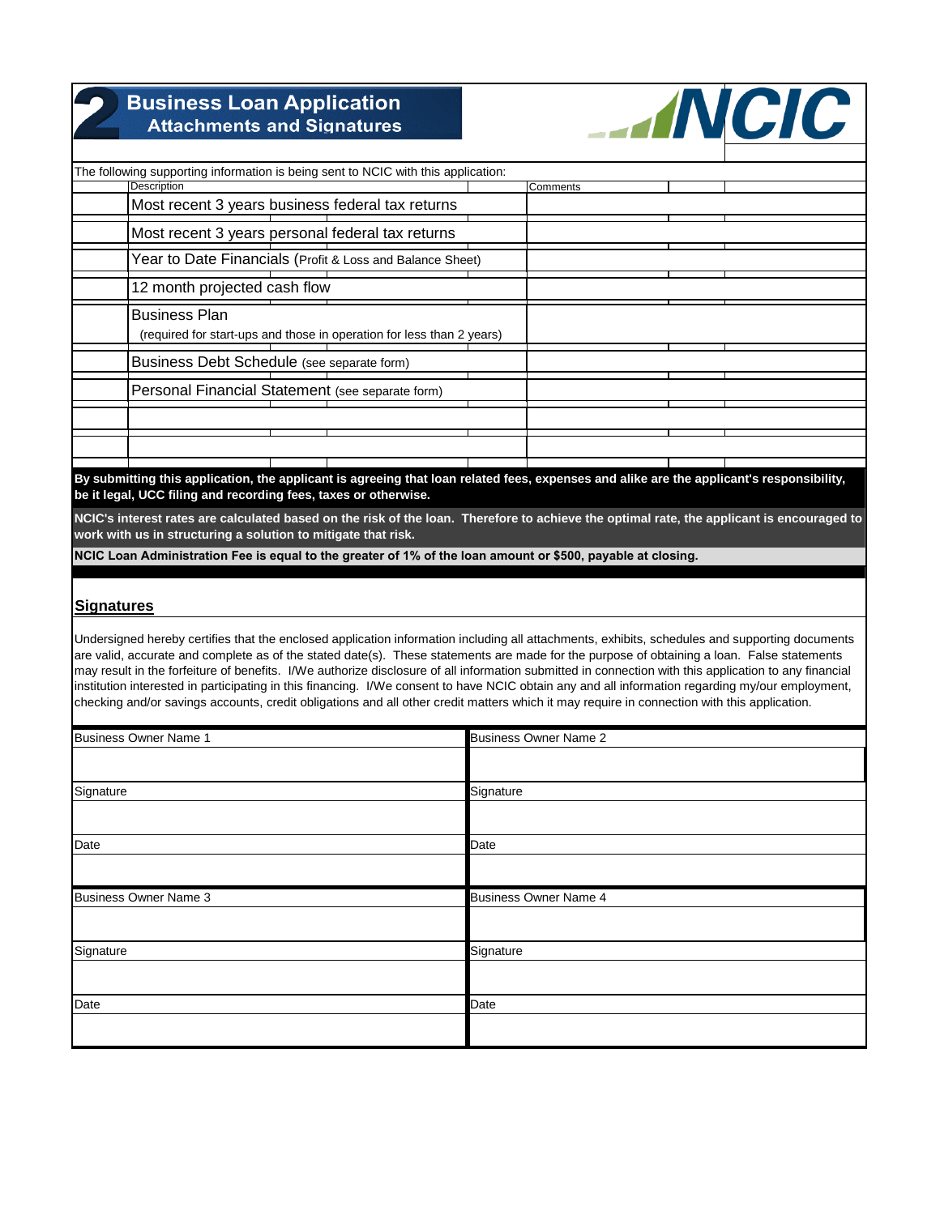| <b>Business Loan Application</b><br><b>Attachments and Signatures</b>                                       | <b>ANCIC</b>                                                                                                                              |
|-------------------------------------------------------------------------------------------------------------|-------------------------------------------------------------------------------------------------------------------------------------------|
| The following supporting information is being sent to NCIC with this application:                           |                                                                                                                                           |
| <b>Description</b>                                                                                          | Comments                                                                                                                                  |
| Most recent 3 years business federal tax returns                                                            |                                                                                                                                           |
| Most recent 3 years personal federal tax returns                                                            |                                                                                                                                           |
| Year to Date Financials (Profit & Loss and Balance Sheet)                                                   |                                                                                                                                           |
| 12 month projected cash flow                                                                                |                                                                                                                                           |
| <b>Business Plan</b><br>(required for start-ups and those in operation for less than 2 years)               |                                                                                                                                           |
| Business Debt Schedule (see separate form)                                                                  |                                                                                                                                           |
| Personal Financial Statement (see separate form)                                                            |                                                                                                                                           |
|                                                                                                             |                                                                                                                                           |
|                                                                                                             |                                                                                                                                           |
| be it legal, UCC filing and recording fees, taxes or otherwise.                                             | By submitting this application, the applicant is agreeing that loan related fees, expenses and alike are the applicant's responsibility,  |
| work with us in structuring a solution to mitigate that risk.                                               | NCIC's interest rates are calculated based on the risk of the loan. Therefore to achieve the optimal rate, the applicant is encouraged to |
| NCIC Loan Administration Fee is equal to the greater of 1% of the loan amount or \$500, payable at closing. |                                                                                                                                           |

## **Signatures**

Undersigned hereby certifies that the enclosed application information including all attachments, exhibits, schedules and supporting documents are valid, accurate and complete as of the stated date(s). These statements are made for the purpose of obtaining a loan. False statements may result in the forfeiture of benefits. I/We authorize disclosure of all information submitted in connection with this application to any financial institution interested in participating in this financing. I/We consent to have NCIC obtain any and all information regarding my/our employment, checking and/or savings accounts, credit obligations and all other credit matters which it may require in connection with this application.

| <b>Business Owner Name 1</b> | <b>Business Owner Name 2</b> |
|------------------------------|------------------------------|
|                              |                              |
| Signature                    | Signature                    |
|                              |                              |
| Date                         | Date                         |
|                              |                              |
|                              |                              |
| <b>Business Owner Name 3</b> | <b>Business Owner Name 4</b> |
|                              |                              |
|                              | Signature                    |
| Signature                    |                              |
| Date                         | Date                         |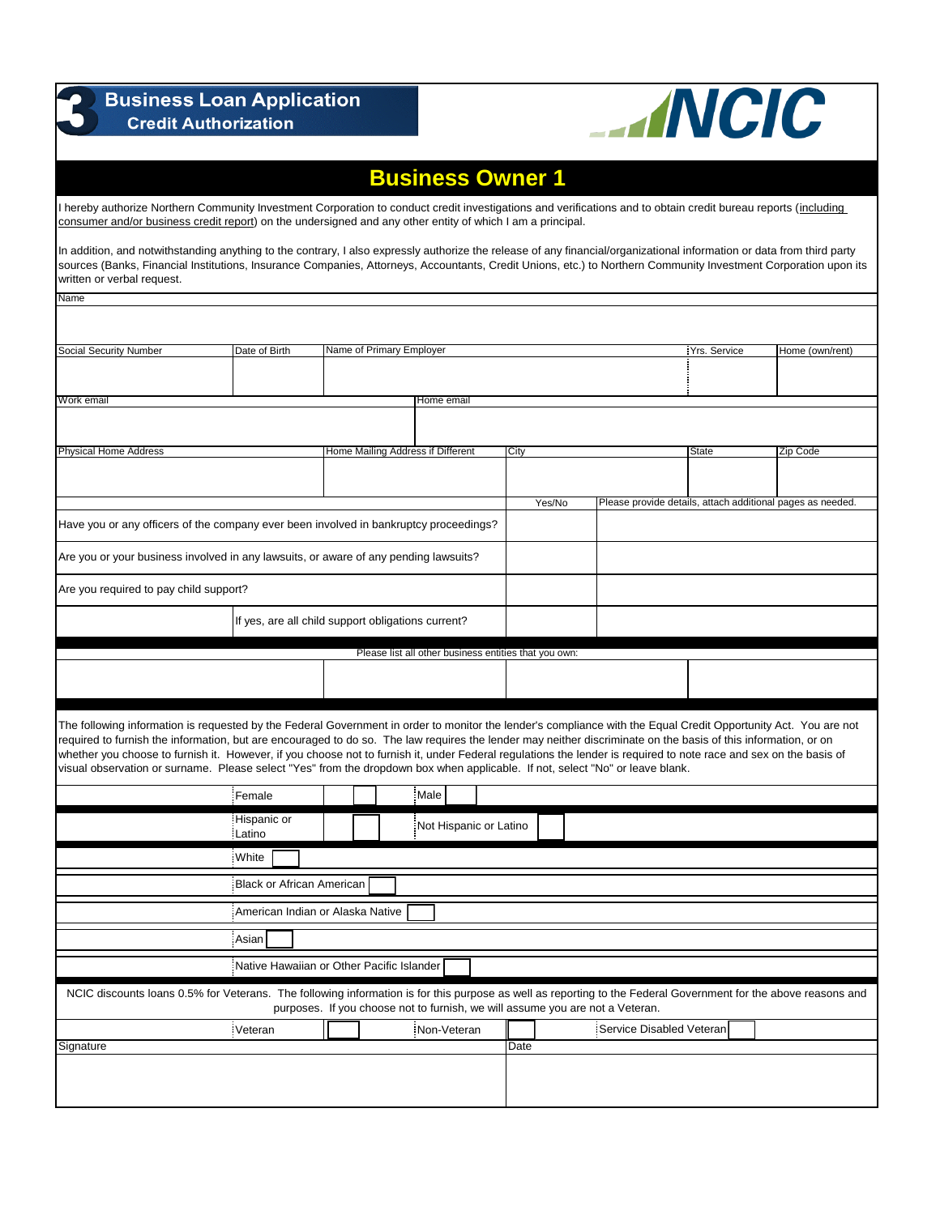| <b>Business Loan Application</b><br><b>Credit Authorization</b>                                                                                                                                                                                                                                                                                                                                                                                                                                                                                                                                                                         | <b>ANCIC</b>                                          |                                                                               |                         |        |                          |              |                                                            |
|-----------------------------------------------------------------------------------------------------------------------------------------------------------------------------------------------------------------------------------------------------------------------------------------------------------------------------------------------------------------------------------------------------------------------------------------------------------------------------------------------------------------------------------------------------------------------------------------------------------------------------------------|-------------------------------------------------------|-------------------------------------------------------------------------------|-------------------------|--------|--------------------------|--------------|------------------------------------------------------------|
|                                                                                                                                                                                                                                                                                                                                                                                                                                                                                                                                                                                                                                         |                                                       |                                                                               | <b>Business Owner 1</b> |        |                          |              |                                                            |
| I hereby authorize Northern Community Investment Corporation to conduct credit investigations and verifications and to obtain credit bureau reports (including<br>consumer and/or business credit report) on the undersigned and any other entity of which I am a principal.                                                                                                                                                                                                                                                                                                                                                            |                                                       |                                                                               |                         |        |                          |              |                                                            |
| In addition, and notwithstanding anything to the contrary, I also expressly authorize the release of any financial/organizational information or data from third party<br>sources (Banks, Financial Institutions, Insurance Companies, Attorneys, Accountants, Credit Unions, etc.) to Northern Community Investment Corporation upon its<br>written or verbal request.                                                                                                                                                                                                                                                                 |                                                       |                                                                               |                         |        |                          |              |                                                            |
| <b>Name</b>                                                                                                                                                                                                                                                                                                                                                                                                                                                                                                                                                                                                                             |                                                       |                                                                               |                         |        |                          |              |                                                            |
| Social Security Number                                                                                                                                                                                                                                                                                                                                                                                                                                                                                                                                                                                                                  | Date of Birth                                         | Name of Primary Employer                                                      |                         |        |                          | Yrs. Service | Home (own/rent)                                            |
|                                                                                                                                                                                                                                                                                                                                                                                                                                                                                                                                                                                                                                         |                                                       |                                                                               |                         |        |                          |              |                                                            |
| Work email                                                                                                                                                                                                                                                                                                                                                                                                                                                                                                                                                                                                                              |                                                       |                                                                               | Home email              |        |                          |              |                                                            |
|                                                                                                                                                                                                                                                                                                                                                                                                                                                                                                                                                                                                                                         |                                                       |                                                                               |                         |        |                          |              |                                                            |
| <b>Physical Home Address</b>                                                                                                                                                                                                                                                                                                                                                                                                                                                                                                                                                                                                            |                                                       | Home Mailing Address if Different                                             |                         | City   |                          | State        | Zip Code                                                   |
|                                                                                                                                                                                                                                                                                                                                                                                                                                                                                                                                                                                                                                         |                                                       |                                                                               |                         |        |                          |              |                                                            |
|                                                                                                                                                                                                                                                                                                                                                                                                                                                                                                                                                                                                                                         |                                                       |                                                                               |                         | Yes/No |                          |              | Please provide details, attach additional pages as needed. |
| Have you or any officers of the company ever been involved in bankruptcy proceedings?                                                                                                                                                                                                                                                                                                                                                                                                                                                                                                                                                   |                                                       |                                                                               |                         |        |                          |              |                                                            |
| Are you or your business involved in any lawsuits, or aware of any pending lawsuits?                                                                                                                                                                                                                                                                                                                                                                                                                                                                                                                                                    |                                                       |                                                                               |                         |        |                          |              |                                                            |
| Are you required to pay child support?                                                                                                                                                                                                                                                                                                                                                                                                                                                                                                                                                                                                  |                                                       |                                                                               |                         |        |                          |              |                                                            |
|                                                                                                                                                                                                                                                                                                                                                                                                                                                                                                                                                                                                                                         | If yes, are all child support obligations current?    |                                                                               |                         |        |                          |              |                                                            |
|                                                                                                                                                                                                                                                                                                                                                                                                                                                                                                                                                                                                                                         | Please list all other business entities that you own: |                                                                               |                         |        |                          |              |                                                            |
|                                                                                                                                                                                                                                                                                                                                                                                                                                                                                                                                                                                                                                         |                                                       |                                                                               |                         |        |                          |              |                                                            |
| The following information is requested by the Federal Government in order to monitor the lender's compliance with the Equal Credit Opportunity Act. You are not<br>required to furnish the information, but are encouraged to do so. The law requires the lender may neither discriminate on the basis of this information, or on<br>whether you choose to furnish it. However, if you choose not to furnish it, under Federal regulations the lender is required to note race and sex on the basis of<br>visual observation or surname. Please select "Yes" from the dropdown box when applicable. If not, select "No" or leave blank. |                                                       |                                                                               |                         |        |                          |              |                                                            |
|                                                                                                                                                                                                                                                                                                                                                                                                                                                                                                                                                                                                                                         | Female                                                |                                                                               | Male                    |        |                          |              |                                                            |
|                                                                                                                                                                                                                                                                                                                                                                                                                                                                                                                                                                                                                                         | Hispanic or<br>Latino                                 |                                                                               | Not Hispanic or Latino  |        |                          |              |                                                            |
|                                                                                                                                                                                                                                                                                                                                                                                                                                                                                                                                                                                                                                         | White                                                 |                                                                               |                         |        |                          |              |                                                            |
|                                                                                                                                                                                                                                                                                                                                                                                                                                                                                                                                                                                                                                         | Black or African American                             |                                                                               |                         |        |                          |              |                                                            |
| American Indian or Alaska Native                                                                                                                                                                                                                                                                                                                                                                                                                                                                                                                                                                                                        |                                                       |                                                                               |                         |        |                          |              |                                                            |
|                                                                                                                                                                                                                                                                                                                                                                                                                                                                                                                                                                                                                                         | Asian                                                 |                                                                               |                         |        |                          |              |                                                            |
|                                                                                                                                                                                                                                                                                                                                                                                                                                                                                                                                                                                                                                         |                                                       | Native Hawaiian or Other Pacific Islander                                     |                         |        |                          |              |                                                            |
| NCIC discounts loans 0.5% for Veterans. The following information is for this purpose as well as reporting to the Federal Government for the above reasons and                                                                                                                                                                                                                                                                                                                                                                                                                                                                          |                                                       | purposes. If you choose not to furnish, we will assume you are not a Veteran. |                         |        |                          |              |                                                            |
|                                                                                                                                                                                                                                                                                                                                                                                                                                                                                                                                                                                                                                         | Veteran                                               |                                                                               | Non-Veteran             |        | Service Disabled Veteran |              |                                                            |
| Signature                                                                                                                                                                                                                                                                                                                                                                                                                                                                                                                                                                                                                               |                                                       |                                                                               |                         | Date   |                          |              |                                                            |
|                                                                                                                                                                                                                                                                                                                                                                                                                                                                                                                                                                                                                                         |                                                       |                                                                               |                         |        |                          |              |                                                            |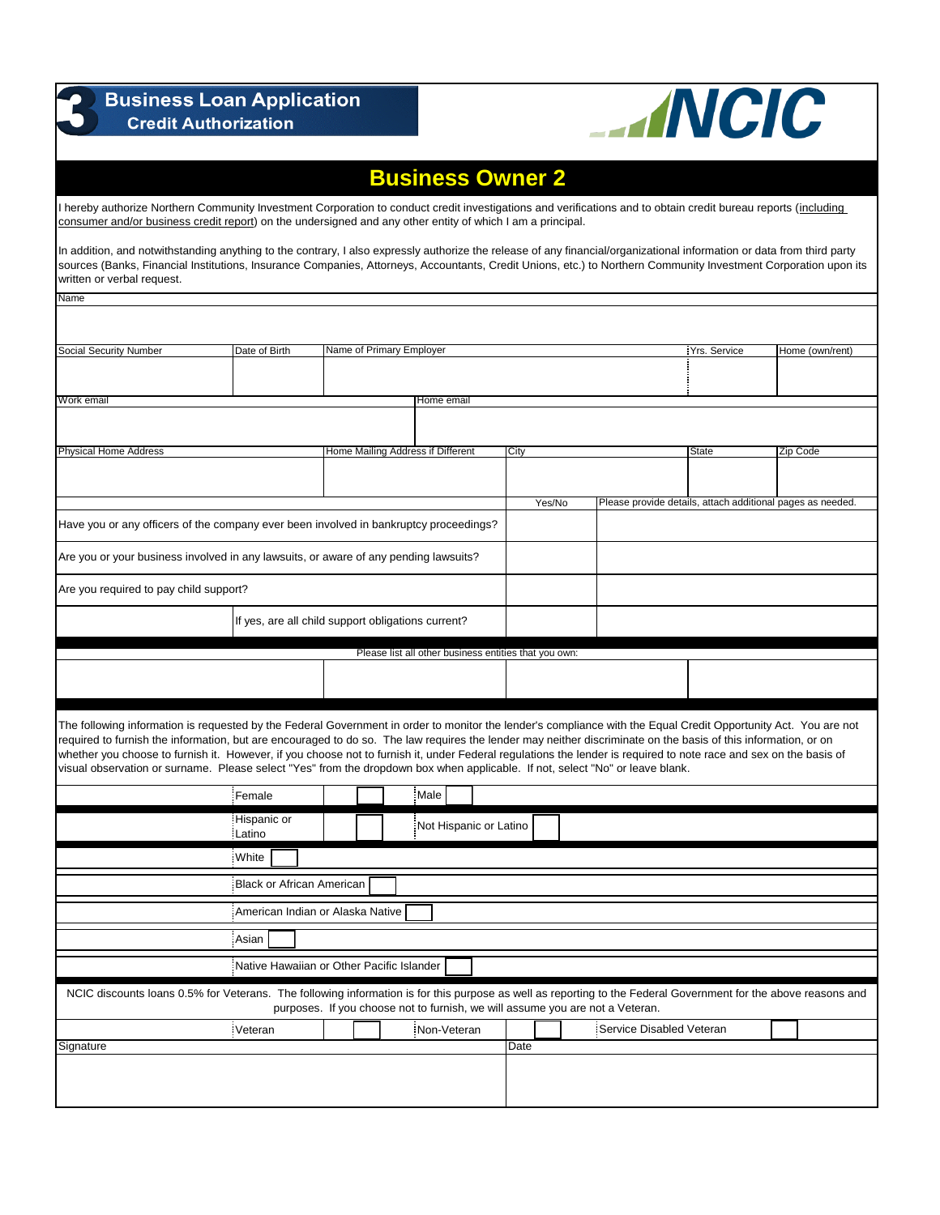| <b>Business Loan Application</b><br><b>Credit Authorization</b>                                                                                                                                                                                                                                                                                                                                                                                                                                                                                                                                                                         | <b>ANCIC</b>                                       |                                   |                                                       |        |                                                                               |              |                                                            |
|-----------------------------------------------------------------------------------------------------------------------------------------------------------------------------------------------------------------------------------------------------------------------------------------------------------------------------------------------------------------------------------------------------------------------------------------------------------------------------------------------------------------------------------------------------------------------------------------------------------------------------------------|----------------------------------------------------|-----------------------------------|-------------------------------------------------------|--------|-------------------------------------------------------------------------------|--------------|------------------------------------------------------------|
|                                                                                                                                                                                                                                                                                                                                                                                                                                                                                                                                                                                                                                         |                                                    |                                   | <b>Business Owner 2</b>                               |        |                                                                               |              |                                                            |
| I hereby authorize Northern Community Investment Corporation to conduct credit investigations and verifications and to obtain credit bureau reports (including<br>consumer and/or business credit report) on the undersigned and any other entity of which I am a principal.                                                                                                                                                                                                                                                                                                                                                            |                                                    |                                   |                                                       |        |                                                                               |              |                                                            |
| In addition, and notwithstanding anything to the contrary, I also expressly authorize the release of any financial/organizational information or data from third party<br>sources (Banks, Financial Institutions, Insurance Companies, Attorneys, Accountants, Credit Unions, etc.) to Northern Community Investment Corporation upon its<br>written or verbal request.                                                                                                                                                                                                                                                                 |                                                    |                                   |                                                       |        |                                                                               |              |                                                            |
| <b>Name</b>                                                                                                                                                                                                                                                                                                                                                                                                                                                                                                                                                                                                                             |                                                    |                                   |                                                       |        |                                                                               |              |                                                            |
| Social Security Number                                                                                                                                                                                                                                                                                                                                                                                                                                                                                                                                                                                                                  | Date of Birth                                      | Name of Primary Employer          |                                                       |        |                                                                               | Yrs. Service | Home (own/rent)                                            |
|                                                                                                                                                                                                                                                                                                                                                                                                                                                                                                                                                                                                                                         |                                                    |                                   |                                                       |        |                                                                               |              |                                                            |
| Work email                                                                                                                                                                                                                                                                                                                                                                                                                                                                                                                                                                                                                              |                                                    |                                   | Home email                                            |        |                                                                               |              |                                                            |
|                                                                                                                                                                                                                                                                                                                                                                                                                                                                                                                                                                                                                                         |                                                    |                                   |                                                       |        |                                                                               |              |                                                            |
| <b>Physical Home Address</b>                                                                                                                                                                                                                                                                                                                                                                                                                                                                                                                                                                                                            |                                                    | Home Mailing Address if Different |                                                       | City   |                                                                               | State        | Zip Code                                                   |
|                                                                                                                                                                                                                                                                                                                                                                                                                                                                                                                                                                                                                                         |                                                    |                                   |                                                       |        |                                                                               |              |                                                            |
| Have you or any officers of the company ever been involved in bankruptcy proceedings?                                                                                                                                                                                                                                                                                                                                                                                                                                                                                                                                                   |                                                    |                                   |                                                       | Yes/No |                                                                               |              | Please provide details, attach additional pages as needed. |
|                                                                                                                                                                                                                                                                                                                                                                                                                                                                                                                                                                                                                                         |                                                    |                                   |                                                       |        |                                                                               |              |                                                            |
| Are you or your business involved in any lawsuits, or aware of any pending lawsuits?                                                                                                                                                                                                                                                                                                                                                                                                                                                                                                                                                    |                                                    |                                   |                                                       |        |                                                                               |              |                                                            |
| Are you required to pay child support?                                                                                                                                                                                                                                                                                                                                                                                                                                                                                                                                                                                                  |                                                    |                                   |                                                       |        |                                                                               |              |                                                            |
|                                                                                                                                                                                                                                                                                                                                                                                                                                                                                                                                                                                                                                         | If yes, are all child support obligations current? |                                   |                                                       |        |                                                                               |              |                                                            |
|                                                                                                                                                                                                                                                                                                                                                                                                                                                                                                                                                                                                                                         |                                                    |                                   | Please list all other business entities that you own: |        |                                                                               |              |                                                            |
|                                                                                                                                                                                                                                                                                                                                                                                                                                                                                                                                                                                                                                         |                                                    |                                   |                                                       |        |                                                                               |              |                                                            |
| The following information is requested by the Federal Government in order to monitor the lender's compliance with the Equal Credit Opportunity Act. You are not<br>required to furnish the information, but are encouraged to do so. The law requires the lender may neither discriminate on the basis of this information, or on<br>whether you choose to furnish it. However, if you choose not to furnish it, under Federal regulations the lender is required to note race and sex on the basis of<br>visual observation or surname. Please select "Yes" from the dropdown box when applicable. If not, select "No" or leave blank. |                                                    |                                   |                                                       |        |                                                                               |              |                                                            |
|                                                                                                                                                                                                                                                                                                                                                                                                                                                                                                                                                                                                                                         | Female                                             |                                   | Male                                                  |        |                                                                               |              |                                                            |
|                                                                                                                                                                                                                                                                                                                                                                                                                                                                                                                                                                                                                                         | Hispanic or<br>Latino                              |                                   | Not Hispanic or Latino                                |        |                                                                               |              |                                                            |
|                                                                                                                                                                                                                                                                                                                                                                                                                                                                                                                                                                                                                                         | White                                              |                                   |                                                       |        |                                                                               |              |                                                            |
|                                                                                                                                                                                                                                                                                                                                                                                                                                                                                                                                                                                                                                         | Black or African American                          |                                   |                                                       |        |                                                                               |              |                                                            |
|                                                                                                                                                                                                                                                                                                                                                                                                                                                                                                                                                                                                                                         | American Indian or Alaska Native                   |                                   |                                                       |        |                                                                               |              |                                                            |
|                                                                                                                                                                                                                                                                                                                                                                                                                                                                                                                                                                                                                                         | Asian                                              |                                   |                                                       |        |                                                                               |              |                                                            |
| Native Hawaiian or Other Pacific Islander                                                                                                                                                                                                                                                                                                                                                                                                                                                                                                                                                                                               |                                                    |                                   |                                                       |        |                                                                               |              |                                                            |
| NCIC discounts loans 0.5% for Veterans. The following information is for this purpose as well as reporting to the Federal Government for the above reasons and                                                                                                                                                                                                                                                                                                                                                                                                                                                                          |                                                    |                                   |                                                       |        | purposes. If you choose not to furnish, we will assume you are not a Veteran. |              |                                                            |
|                                                                                                                                                                                                                                                                                                                                                                                                                                                                                                                                                                                                                                         | Veteran                                            |                                   | Non-Veteran                                           |        | Service Disabled Veteran                                                      |              |                                                            |
| Signature                                                                                                                                                                                                                                                                                                                                                                                                                                                                                                                                                                                                                               |                                                    |                                   |                                                       | Date   |                                                                               |              |                                                            |
|                                                                                                                                                                                                                                                                                                                                                                                                                                                                                                                                                                                                                                         |                                                    |                                   |                                                       |        |                                                                               |              |                                                            |